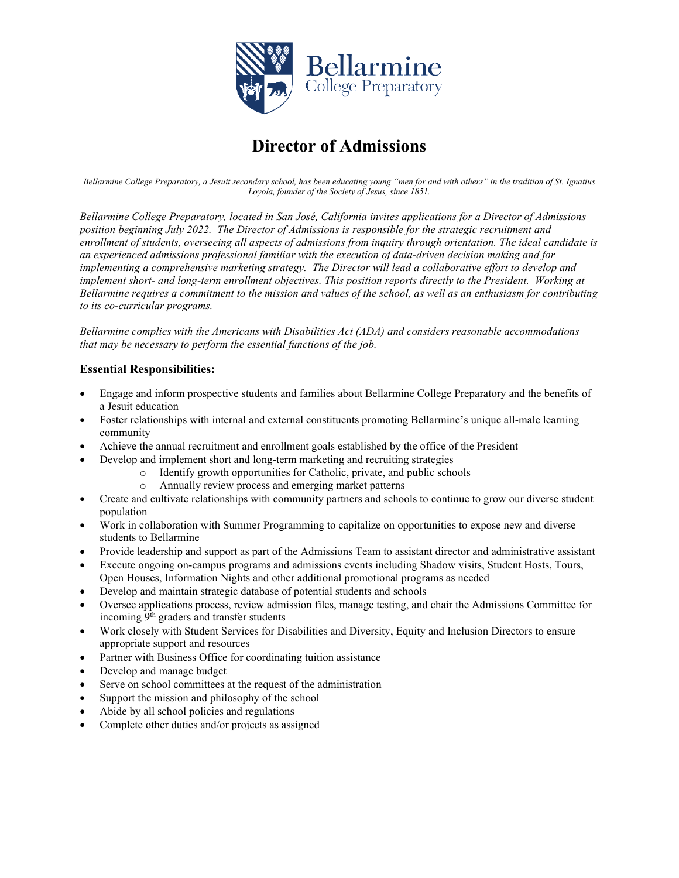

# **Director of Admissions**

*Bellarmine College Preparatory, a Jesuit secondary school, has been educating young "men for and with others" in the tradition of St. Ignatius Loyola, founder of the Society of Jesus, since 1851.*

*Bellarmine College Preparatory, located in San José, California invites applications for a Director of Admissions position beginning July 2022. The Director of Admissions is responsible for the strategic recruitment and enrollment of students, overseeing all aspects of admissions from inquiry through orientation. The ideal candidate is an experienced admissions professional familiar with the execution of data-driven decision making and for implementing a comprehensive marketing strategy. The Director will lead a collaborative effort to develop and implement short- and long-term enrollment objectives. This position reports directly to the President. Working at Bellarmine requires a commitment to the mission and values of the school, as well as an enthusiasm for contributing to its co-curricular programs.*

*Bellarmine complies with the Americans with Disabilities Act (ADA) and considers reasonable accommodations that may be necessary to perform the essential functions of the job.*

## **Essential Responsibilities:**

- Engage and inform prospective students and families about Bellarmine College Preparatory and the benefits of a Jesuit education
- Foster relationships with internal and external constituents promoting Bellarmine's unique all-male learning community
- Achieve the annual recruitment and enrollment goals established by the office of the President
	- Develop and implement short and long-term marketing and recruiting strategies
		- o Identify growth opportunities for Catholic, private, and public schools
			- o Annually review process and emerging market patterns
- Create and cultivate relationships with community partners and schools to continue to grow our diverse student population
- Work in collaboration with Summer Programming to capitalize on opportunities to expose new and diverse students to Bellarmine
- Provide leadership and support as part of the Admissions Team to assistant director and administrative assistant
- Execute ongoing on-campus programs and admissions events including Shadow visits, Student Hosts, Tours, Open Houses, Information Nights and other additional promotional programs as needed
- Develop and maintain strategic database of potential students and schools
- Oversee applications process, review admission files, manage testing, and chair the Admissions Committee for incoming 9<sup>th</sup> graders and transfer students
- Work closely with Student Services for Disabilities and Diversity, Equity and Inclusion Directors to ensure appropriate support and resources
- Partner with Business Office for coordinating tuition assistance
- Develop and manage budget
- Serve on school committees at the request of the administration
- Support the mission and philosophy of the school
- Abide by all school policies and regulations
- Complete other duties and/or projects as assigned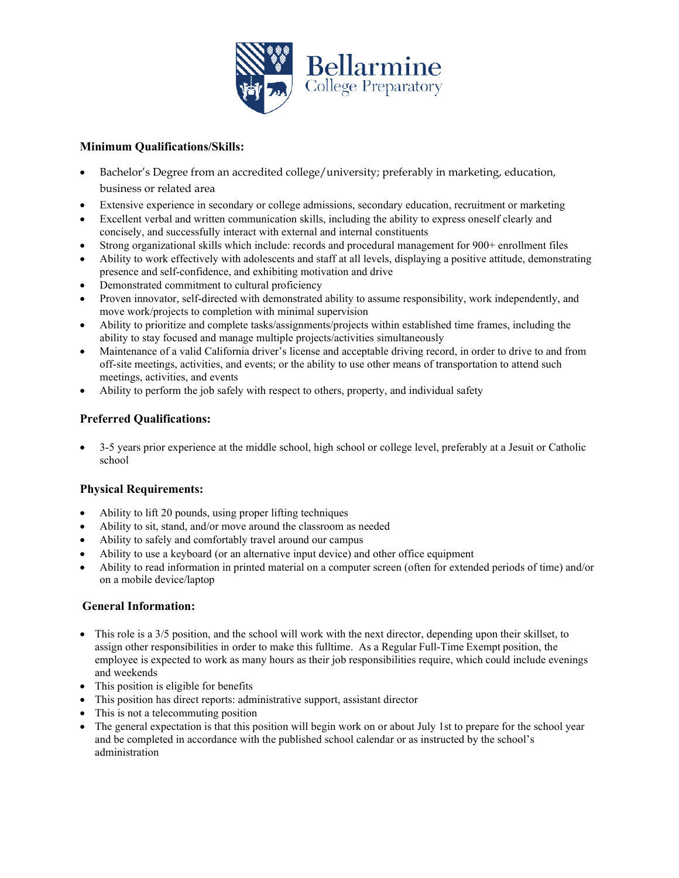

## **Minimum Qualifications/Skills:**

- Bachelor's Degree from an accredited college/university; preferably in marketing, education, business or related area
- Extensive experience in secondary or college admissions, secondary education, recruitment or marketing
- Excellent verbal and written communication skills, including the ability to express oneself clearly and concisely, and successfully interact with external and internal constituents
- Strong organizational skills which include: records and procedural management for 900+ enrollment files
- Ability to work effectively with adolescents and staff at all levels, displaying a positive attitude, demonstrating presence and self-confidence, and exhibiting motivation and drive
- Demonstrated commitment to cultural proficiency
- Proven innovator, self-directed with demonstrated ability to assume responsibility, work independently, and move work/projects to completion with minimal supervision
- Ability to prioritize and complete tasks/assignments/projects within established time frames, including the ability to stay focused and manage multiple projects/activities simultaneously
- Maintenance of a valid California driver's license and acceptable driving record, in order to drive to and from off-site meetings, activities, and events; or the ability to use other means of transportation to attend such meetings, activities, and events
- Ability to perform the job safely with respect to others, property, and individual safety

## **Preferred Qualifications:**

• 3-5 years prior experience at the middle school, high school or college level, preferably at a Jesuit or Catholic school

## **Physical Requirements:**

- Ability to lift 20 pounds, using proper lifting techniques
- Ability to sit, stand, and/or move around the classroom as needed
- Ability to safely and comfortably travel around our campus
- Ability to use a keyboard (or an alternative input device) and other office equipment
- Ability to read information in printed material on a computer screen (often for extended periods of time) and/or on a mobile device/laptop

## **General Information:**

- This role is a 3/5 position, and the school will work with the next director, depending upon their skillset, to assign other responsibilities in order to make this fulltime. As a Regular Full-Time Exempt position, the employee is expected to work as many hours as their job responsibilities require, which could include evenings and weekends
- This position is eligible for benefits
- This position has direct reports: administrative support, assistant director
- This is not a telecommuting position
- The general expectation is that this position will begin work on or about July 1st to prepare for the school year and be completed in accordance with the published school calendar or as instructed by the school's administration